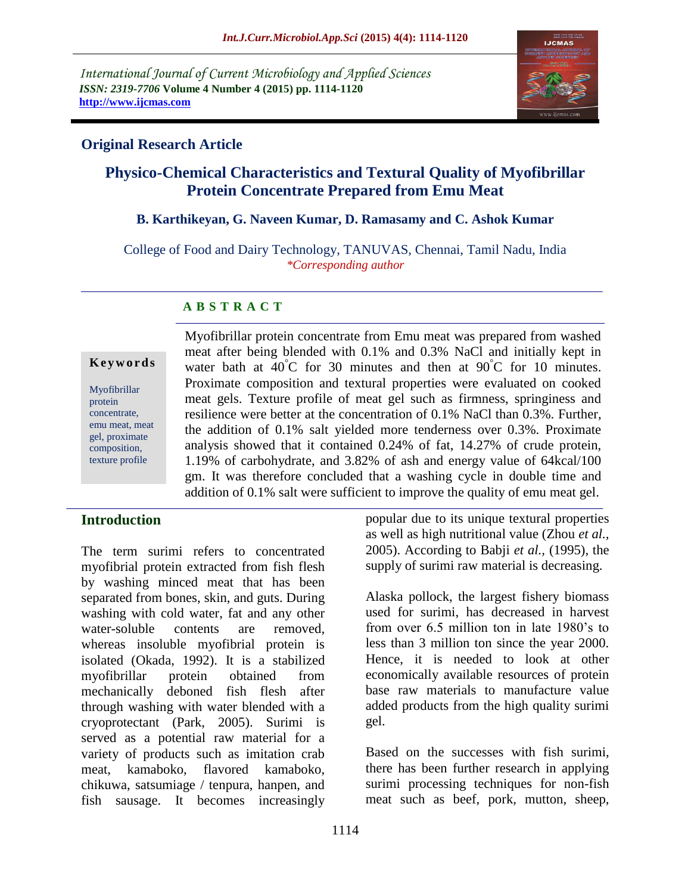*International Journal of Current Microbiology and Applied Sciences ISSN: 2319-7706* **Volume 4 Number 4 (2015) pp. 1114-1120 http://www.ijcmas.com**



### **Original Research Article**

# **Physico-Chemical Characteristics and Textural Quality of Myofibrillar Protein Concentrate Prepared from Emu Meat**

#### **B. Karthikeyan, G. Naveen Kumar, D. Ramasamy and C. Ashok Kumar**

College of Food and Dairy Technology, TANUVAS, Chennai, Tamil Nadu, India *\*Corresponding author*

### **A B S T R A C T**

#### **K e y w o r d s**

Myofibrillar protein concentrate, emu meat, meat gel, proximate composition, texture profile

Myofibrillar protein concentrate from Emu meat was prepared from washed meat after being blended with 0.1% and 0.3% NaCl and initially kept in water bath at  $40^{\circ}$ C for 30 minutes and then at  $90^{\circ}$ C for 10 minutes. Proximate composition and textural properties were evaluated on cooked meat gels. Texture profile of meat gel such as firmness, springiness and resilience were better at the concentration of 0.1% NaCl than 0.3%. Further, the addition of 0.1% salt yielded more tenderness over 0.3%. Proximate analysis showed that it contained 0.24% of fat, 14.27% of crude protein, 1.19% of carbohydrate, and 3.82% of ash and energy value of 64kcal/100 gm. It was therefore concluded that a washing cycle in double time and addition of 0.1% salt were sufficient to improve the quality of emu meat gel.

## **Introduction**

The term surimi refers to concentrated myofibrial protein extracted from fish flesh by washing minced meat that has been separated from bones, skin, and guts. During washing with cold water, fat and any other water-soluble contents are removed, whereas insoluble myofibrial protein is isolated (Okada, 1992). It is a stabilized myofibrillar protein obtained from mechanically deboned fish flesh after through washing with water blended with a cryoprotectant (Park, 2005). Surimi is served as a potential raw material for a variety of products such as imitation crab meat, kamaboko, flavored kamaboko, chikuwa, satsumiage / tenpura, hanpen, and fish sausage. It becomes increasingly

popular due to its unique textural properties as well as high nutritional value (Zhou *et al.,* 2005). According to Babji *et al.,* (1995), the supply of surimi raw material is decreasing.

Alaska pollock, the largest fishery biomass used for surimi, has decreased in harvest from over 6.5 million ton in late 1980's to less than 3 million ton since the year 2000. Hence, it is needed to look at other economically available resources of protein base raw materials to manufacture value added products from the high quality surimi gel.

Based on the successes with fish surimi, there has been further research in applying surimi processing techniques for non-fish meat such as beef, pork, mutton, sheep,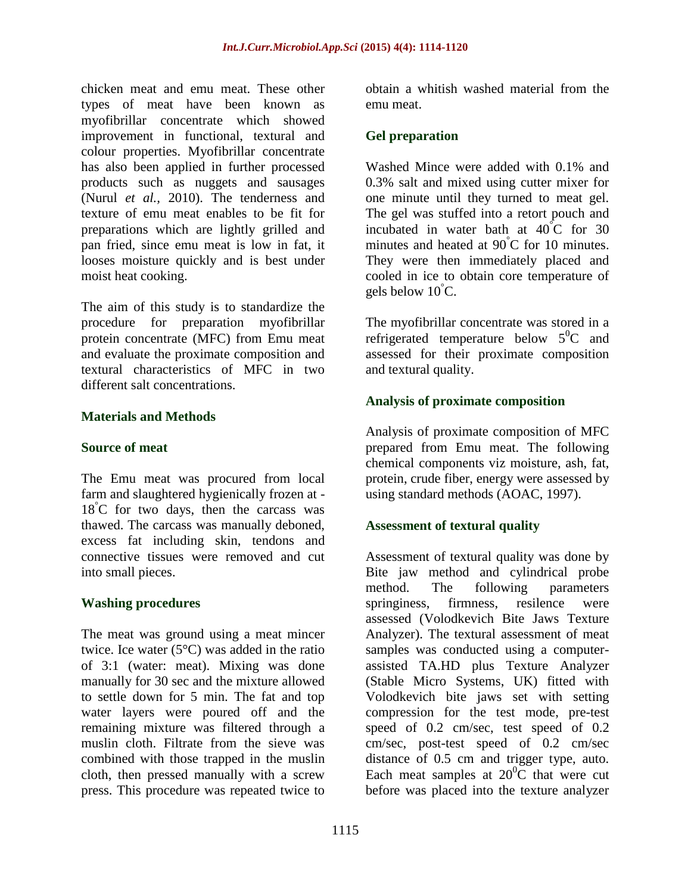chicken meat and emu meat. These other types of meat have been known as myofibrillar concentrate which showed improvement in functional, textural and colour properties. Myofibrillar concentrate has also been applied in further processed products such as nuggets and sausages (Nurul *et al.,* 2010). The tenderness and texture of emu meat enables to be fit for preparations which are lightly grilled and pan fried, since emu meat is low in fat, it looses moisture quickly and is best under moist heat cooking.

The aim of this study is to standardize the procedure for preparation myofibrillar protein concentrate (MFC) from Emu meat and evaluate the proximate composition and textural characteristics of MFC in two different salt concentrations.

#### **Materials and Methods**

#### **Source of meat**

The Emu meat was procured from local farm and slaughtered hygienically frozen at -  $18^{\circ}$ C for two days, then the carcass was thawed. The carcass was manually deboned, excess fat including skin, tendons and connective tissues were removed and cut into small pieces.

#### **Washing procedures**

The meat was ground using a meat mincer twice. Ice water (5°C) was added in the ratio of 3:1 (water: meat). Mixing was done manually for 30 sec and the mixture allowed to settle down for 5 min. The fat and top water layers were poured off and the remaining mixture was filtered through a muslin cloth. Filtrate from the sieve was combined with those trapped in the muslin cloth, then pressed manually with a screw press. This procedure was repeated twice to

obtain a whitish washed material from the emu meat.

### **Gel preparation**

Washed Mince were added with 0.1% and 0.3% salt and mixed using cutter mixer for one minute until they turned to meat gel. The gel was stuffed into a retort pouch and incubated in water bath at  $40^{\circ}$ C for 30 minutes and heated at 90<sup>°</sup>C for 10 minutes. They were then immediately placed and cooled in ice to obtain core temperature of gels below  $10^{\circ}$ C.

The myofibrillar concentrate was stored in a refrigerated temperature below  $5^0C$  and assessed for their proximate composition and textural quality.

### **Analysis of proximate composition**

Analysis of proximate composition of MFC prepared from Emu meat. The following chemical components viz moisture, ash, fat, protein, crude fiber, energy were assessed by using standard methods (AOAC, 1997).

### **Assessment of textural quality**

Assessment of textural quality was done by Bite jaw method and cylindrical probe method. The following parameters springiness, firmness, resilence were assessed (Volodkevich Bite Jaws Texture Analyzer). The textural assessment of meat samples was conducted using a computerassisted TA.HD plus Texture Analyzer (Stable Micro Systems, UK) fitted with Volodkevich bite jaws set with setting compression for the test mode, pre-test speed of 0.2 cm/sec, test speed of 0.2 cm/sec, post-test speed of 0.2 cm/sec distance of 0.5 cm and trigger type, auto. Each meat samples at  $20^0C$  that were cut before was placed into the texture analyzer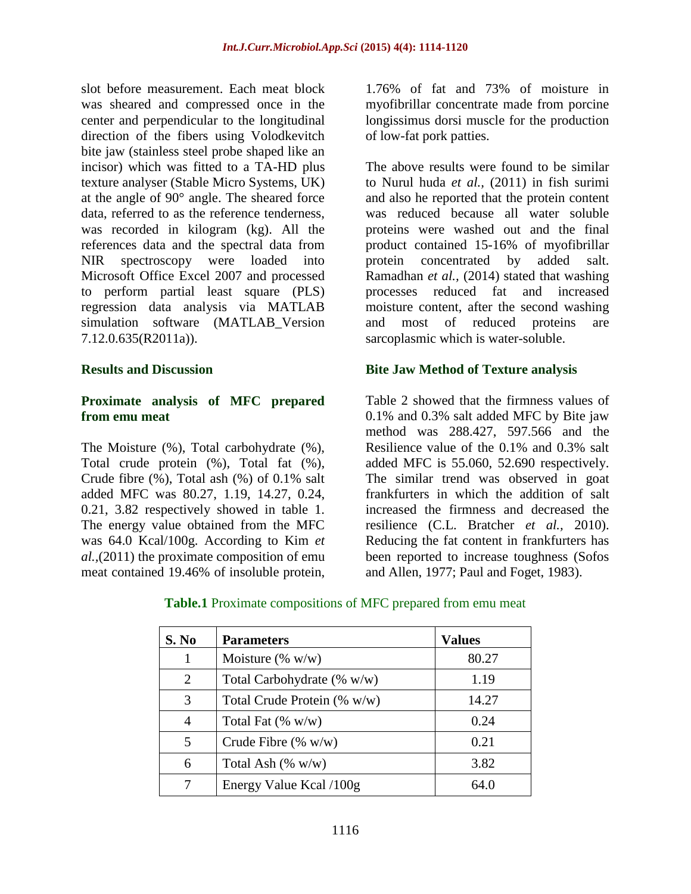slot before measurement. Each meat block was sheared and compressed once in the center and perpendicular to the longitudinal direction of the fibers using Volodkevitch bite jaw (stainless steel probe shaped like an incisor) which was fitted to a TA-HD plus texture analyser (Stable Micro Systems, UK) at the angle of 90° angle. The sheared force data, referred to as the reference tenderness, was recorded in kilogram (kg). All the references data and the spectral data from NIR spectroscopy were loaded into Microsoft Office Excel 2007 and processed to perform partial least square (PLS) regression data analysis via MATLAB simulation software (MATLAB\_Version 7.12.0.635(R2011a)).

#### **Results and Discussion**

#### **Proximate analysis of MFC prepared from emu meat**

The Moisture (%), Total carbohydrate (%), Total crude protein (%), Total fat (%), Crude fibre (%), Total ash (%) of 0.1% salt added MFC was 80.27, 1.19, 14.27, 0.24, 0.21, 3.82 respectively showed in table 1. The energy value obtained from the MFC was 64.0 Kcal/100g. According to Kim *et al.,*(2011) the proximate composition of emu meat contained 19.46% of insoluble protein,

1.76% of fat and 73% of moisture in myofibrillar concentrate made from porcine longissimus dorsi muscle for the production of low-fat pork patties.

The above results were found to be similar to Nurul huda *et al.,* (2011) in fish surimi and also he reported that the protein content was reduced because all water soluble proteins were washed out and the final product contained 15-16% of myofibrillar protein concentrated by added salt. Ramadhan *et al.,* (2014) stated that washing processes reduced fat and increased moisture content, after the second washing and most of reduced proteins are sarcoplasmic which is water-soluble.

#### **Bite Jaw Method of Texture analysis**

Table 2 showed that the firmness values of 0.1% and 0.3% salt added MFC by Bite jaw method was 288.427, 597.566 and the Resilience value of the 0.1% and 0.3% salt added MFC is 55.060, 52.690 respectively. The similar trend was observed in goat frankfurters in which the addition of salt increased the firmness and decreased the resilience (C.L. Bratcher *et al.,* 2010). Reducing the fat content in frankfurters has been reported to increase toughness (Sofos and Allen, 1977; Paul and Foget, 1983).

| S. No          | <b>Parameters</b>              | <b>Values</b> |
|----------------|--------------------------------|---------------|
|                | Moisture $(\% w/w)$            | 80.27         |
| $\overline{2}$ | Total Carbohydrate $(\% w/w)$  | 1.19          |
| 3              | Total Crude Protein $(\% w/w)$ | 14.27         |
| 4              | Total Fat $(\% w/w)$           | 0.24          |
| 5              | Crude Fibre $(\% w/w)$         | 0.21          |
| 6              | Total Ash $(\% w/w)$           | 3.82          |
|                | Energy Value Kcal /100g        | 64.0          |

**Table.1** Proximate compositions of MFC prepared from emu meat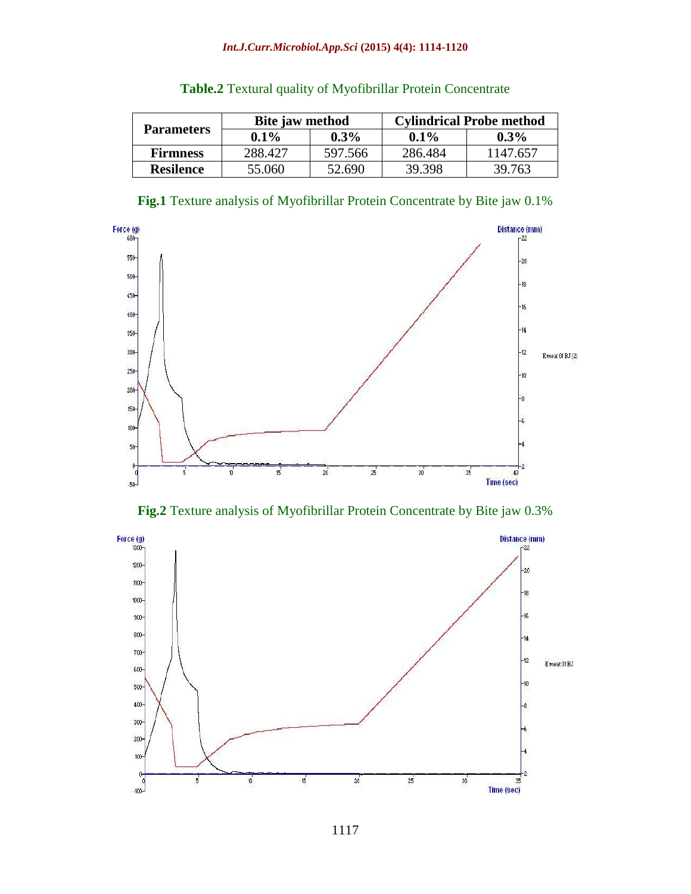#### *Int.J.Curr.Microbiol.App.Sci* **(2015) 4(4): 1114-1120**

|                   | Bite jaw method |         | <b>Cylindrical Probe method</b> |          |
|-------------------|-----------------|---------|---------------------------------|----------|
| <b>Parameters</b> | $0.1\%$         | $0.3\%$ | $0.1\%$                         | $0.3\%$  |
| <b>Firmness</b>   | 288.427         | 597.566 | 286.484                         | 1147.657 |
| <b>Resilence</b>  | 55.060          | 52.690  | 39.398                          | 39.763   |

|  |  |  | <b>Table.2</b> Textural quality of Myofibrillar Protein Concentrate |
|--|--|--|---------------------------------------------------------------------|
|--|--|--|---------------------------------------------------------------------|

**Fig.1** Texture analysis of Myofibrillar Protein Concentrate by Bite jaw 0.1%



**Fig.2** Texture analysis of Myofibrillar Protein Concentrate by Bite jaw 0.3%

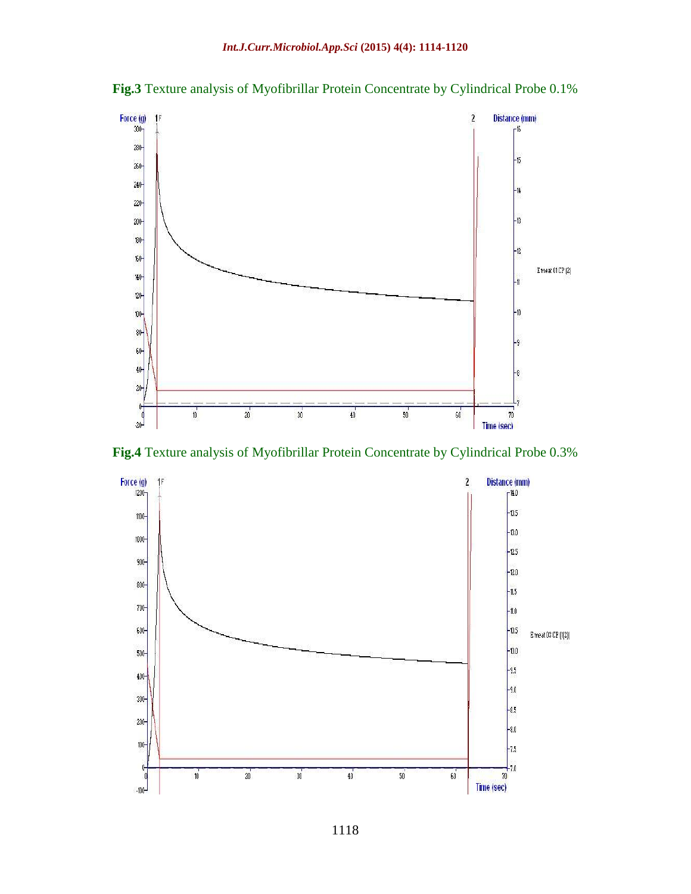



**Fig.4** Texture analysis of Myofibrillar Protein Concentrate by Cylindrical Probe 0.3%

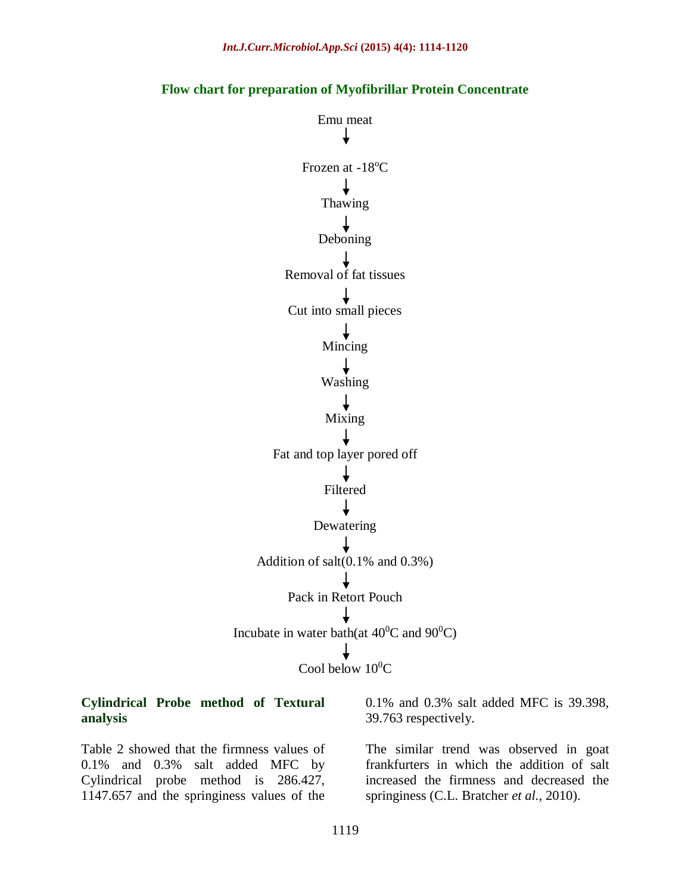

Emu meat T Frozen at -18<sup>o</sup>C Thawing **Deboning** Removal of fat tissues Cut into small pieces Mincing Washing Mixing Fat and top layer pored off Filtered ↓ Dewatering Addition of salt(0.1% and 0.3%) Pack in Retort Pouch Incubate in water bath(at  $40^0$ C and  $90^0$ C) Cool below  $10^{0}C$ 

#### **Cylindrical Probe method of Textural analysis**

Table 2 showed that the firmness values of 0.1% and 0.3% salt added MFC by Cylindrical probe method is 286.427, 1147.657 and the springiness values of the

0.1% and 0.3% salt added MFC is 39.398, 39.763 respectively.

The similar trend was observed in goat frankfurters in which the addition of salt increased the firmness and decreased the springiness (C.L. Bratcher *et al.,* 2010).